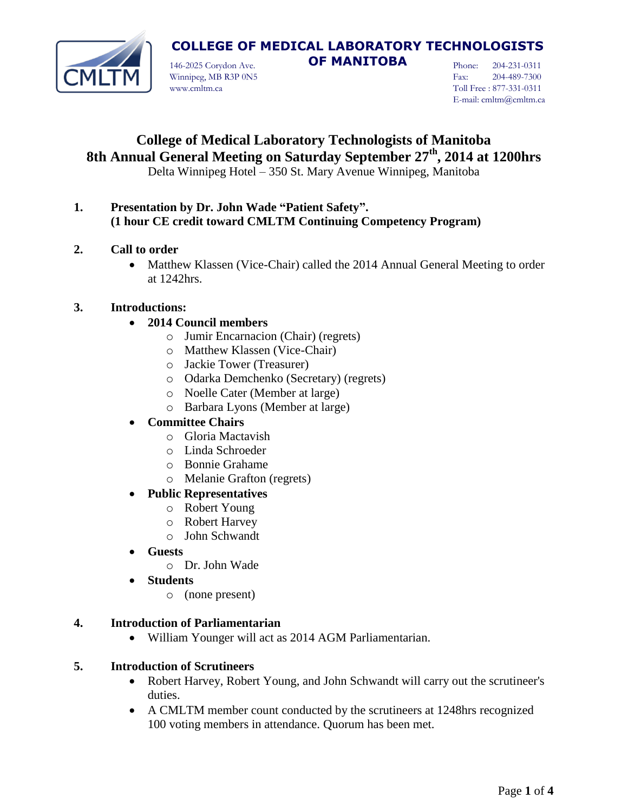

**COLLEGE OF MEDICAL LABORATORY TECHNOLOGISTS** 

146-2025 Corydon Ave. **OF MANITOBA** Winnipeg, MB R3P 0N5 www.cmltm.ca

Phone: 204-231-0311 Fax: 204-489-7300 Toll Free : 877-331-0311 E-mail: cmltm@cmltm.ca

# **College of Medical Laboratory Technologists of Manitoba 8th Annual General Meeting on Saturday September 27 th, 2014 at 1200hrs**

Delta Winnipeg Hotel – 350 St. Mary Avenue Winnipeg, Manitoba

- **1. Presentation by Dr. John Wade "Patient Safety". (1 hour CE credit toward CMLTM Continuing Competency Program)**
- **2. Call to order**
	- Matthew Klassen (Vice-Chair) called the 2014 Annual General Meeting to order at 1242hrs.

## **3. Introductions:**

## **2014 Council members**

- o Jumir Encarnacion (Chair) (regrets)
- o Matthew Klassen (Vice-Chair)
- o Jackie Tower (Treasurer)
- o Odarka Demchenko (Secretary) (regrets)
- o Noelle Cater (Member at large)
- o Barbara Lyons (Member at large)

# **Committee Chairs**

- o Gloria Mactavish
- o Linda Schroeder
- o Bonnie Grahame
- o Melanie Grafton (regrets)

# **Public Representatives**

- o Robert Young
- o Robert Harvey
- o John Schwandt
- **Guests**
	- o Dr. John Wade
- **Students**
	- o (none present)

#### **4. Introduction of Parliamentarian**

William Younger will act as 2014 AGM Parliamentarian.

#### **5. Introduction of Scrutineers**

- Robert Harvey, Robert Young, and John Schwandt will carry out the scrutineer's duties.
- A CMLTM member count conducted by the scrutineers at 1248hrs recognized 100 voting members in attendance. Quorum has been met.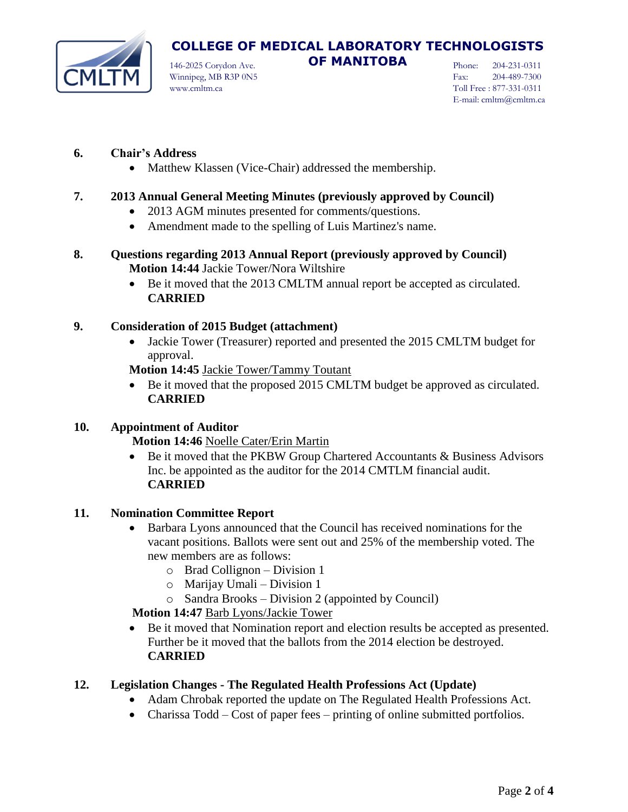

Winnipeg, MB R3P 0N5 www.cmltm.ca

Phone: 204-231-0311 Fax: 204-489-7300 Toll Free : 877-331-0311 E-mail: cmltm@cmltm.ca

## **6. Chair's Address**

• Matthew Klassen (Vice-Chair) addressed the membership.

## **7. 2013 Annual General Meeting Minutes (previously approved by Council)**

- 2013 AGM minutes presented for comments/questions.
- Amendment made to the spelling of Luis Martinez's name.
- **8. Questions regarding 2013 Annual Report (previously approved by Council) Motion 14:44** Jackie Tower/Nora Wiltshire
	- Be it moved that the 2013 CMLTM annual report be accepted as circulated. **CARRIED**

#### **9. Consideration of 2015 Budget (attachment)**

 Jackie Tower (Treasurer) reported and presented the 2015 CMLTM budget for approval.

**Motion 14:45** Jackie Tower/Tammy Toutant

 Be it moved that the proposed 2015 CMLTM budget be approved as circulated. **CARRIED**

#### **10. Appointment of Auditor**

#### **Motion 14:46** Noelle Cater/Erin Martin

 Be it moved that the PKBW Group Chartered Accountants & Business Advisors Inc. be appointed as the auditor for the 2014 CMTLM financial audit. **CARRIED** 

#### **11. Nomination Committee Report**

- Barbara Lyons announced that the Council has received nominations for the vacant positions. Ballots were sent out and 25% of the membership voted. The new members are as follows:
	- o Brad Collignon Division 1
	- o Marijay Umali Division 1
	- o Sandra Brooks Division 2 (appointed by Council)

 **Motion 14:47** Barb Lyons/Jackie Tower

 Be it moved that Nomination report and election results be accepted as presented. Further be it moved that the ballots from the 2014 election be destroyed. **CARRIED** 

# **12. Legislation Changes - The Regulated Health Professions Act (Update)**

- Adam Chrobak reported the update on The Regulated Health Professions Act.
- Charissa Todd Cost of paper fees printing of online submitted portfolios.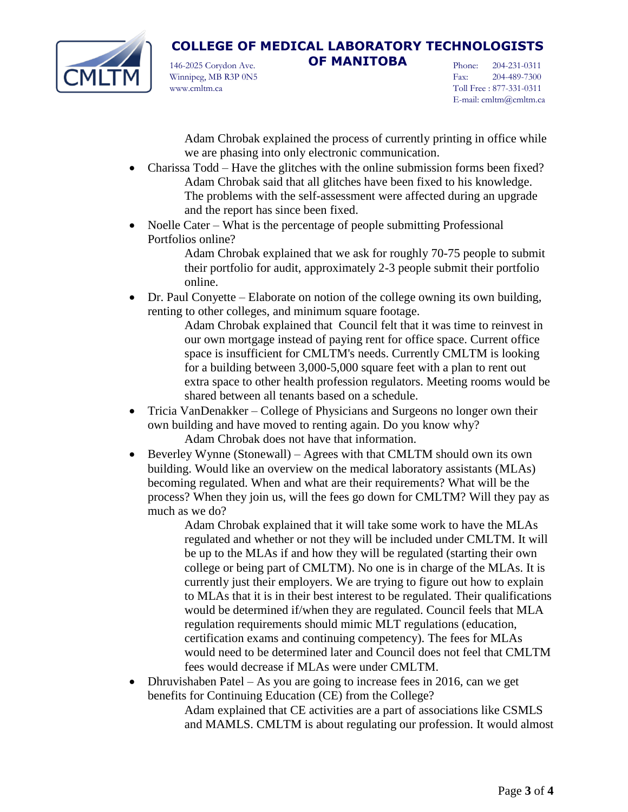

**COLLEGE OF MEDICAL LABORATORY TECHNOLOGISTS**  146-2025 Corydon Ave. **OF MANITOBA**

Winnipeg, MB R3P 0N5 www.cmltm.ca

Phone: 204-231-0311 Fax: 204-489-7300 Toll Free : 877-331-0311 E-mail: cmltm@cmltm.ca

Adam Chrobak explained the process of currently printing in office while we are phasing into only electronic communication.

- Charissa Todd Have the glitches with the online submission forms been fixed? Adam Chrobak said that all glitches have been fixed to his knowledge. The problems with the self-assessment were affected during an upgrade and the report has since been fixed.
- Noelle Cater What is the percentage of people submitting Professional Portfolios online?

Adam Chrobak explained that we ask for roughly 70-75 people to submit their portfolio for audit, approximately 2-3 people submit their portfolio online.

 Dr. Paul Conyette – Elaborate on notion of the college owning its own building, renting to other colleges, and minimum square footage.

Adam Chrobak explained that Council felt that it was time to reinvest in our own mortgage instead of paying rent for office space. Current office space is insufficient for CMLTM's needs. Currently CMLTM is looking for a building between 3,000-5,000 square feet with a plan to rent out extra space to other health profession regulators. Meeting rooms would be shared between all tenants based on a schedule.

- Tricia VanDenakker College of Physicians and Surgeons no longer own their own building and have moved to renting again. Do you know why? Adam Chrobak does not have that information.
- Beverley Wynne (Stonewall) Agrees with that CMLTM should own its own building. Would like an overview on the medical laboratory assistants (MLAs) becoming regulated. When and what are their requirements? What will be the process? When they join us, will the fees go down for CMLTM? Will they pay as much as we do?

Adam Chrobak explained that it will take some work to have the MLAs regulated and whether or not they will be included under CMLTM. It will be up to the MLAs if and how they will be regulated (starting their own college or being part of CMLTM). No one is in charge of the MLAs. It is currently just their employers. We are trying to figure out how to explain to MLAs that it is in their best interest to be regulated. Their qualifications would be determined if/when they are regulated. Council feels that MLA regulation requirements should mimic MLT regulations (education, certification exams and continuing competency). The fees for MLAs would need to be determined later and Council does not feel that CMLTM fees would decrease if MLAs were under CMLTM.

• Dhruvishaben Patel – As you are going to increase fees in 2016, can we get benefits for Continuing Education (CE) from the College?

Adam explained that CE activities are a part of associations like CSMLS and MAMLS. CMLTM is about regulating our profession. It would almost